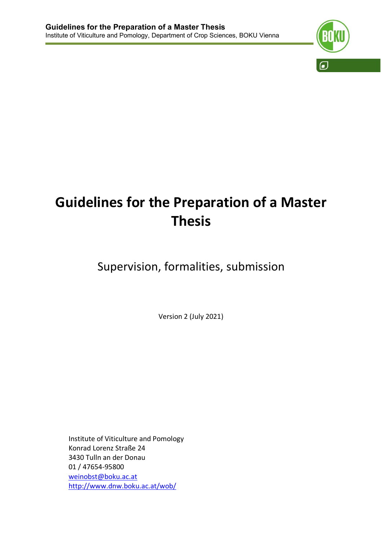

# **Guidelines for the Preparation of a Master Thesis**

## Supervision, formalities, submission

Version 2 (July 2021)

Institute of Viticulture and Pomology Konrad Lorenz Straße 24 3430 Tulln an der Donau 01 / 47654-95800 weinobst@boku.ac.at http://www.dnw.boku.ac.at/wob/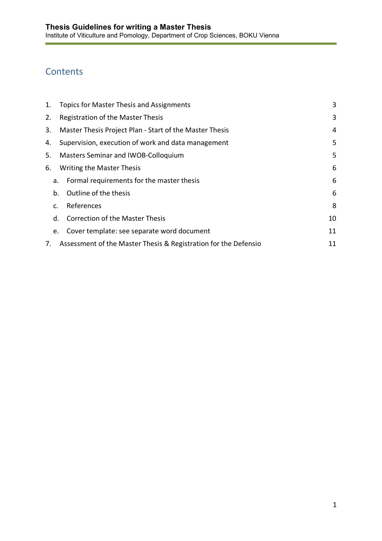## **Contents**

| 1. | Topics for Master Thesis and Assignments                        | 3  |
|----|-----------------------------------------------------------------|----|
| 2. | Registration of the Master Thesis                               | 3  |
| 3. | Master Thesis Project Plan - Start of the Master Thesis         | 4  |
| 4. | Supervision, execution of work and data management              | 5  |
| 5. | Masters Seminar and IWOB-Colloquium                             | 5  |
| 6. | Writing the Master Thesis                                       | 6  |
| a. | Formal requirements for the master thesis                       | 6  |
| b. | Outline of the thesis                                           | 6  |
| C. | References                                                      | 8  |
| d. | <b>Correction of the Master Thesis</b>                          | 10 |
| e. | Cover template: see separate word document                      | 11 |
| 7. | Assessment of the Master Thesis & Registration for the Defensio | 11 |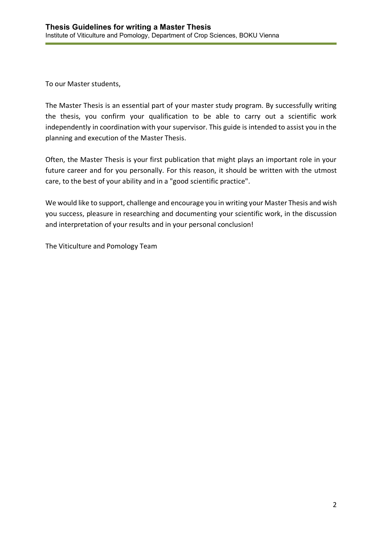To our Master students,

The Master Thesis is an essential part of your master study program. By successfully writing the thesis, you confirm your qualification to be able to carry out a scientific work independently in coordination with your supervisor. This guide is intended to assist you in the planning and execution of the Master Thesis.

Often, the Master Thesis is your first publication that might plays an important role in your future career and for you personally. For this reason, it should be written with the utmost care, to the best of your ability and in a "good scientific practice".

We would like to support, challenge and encourage you in writing your Master Thesis and wish you success, pleasure in researching and documenting your scientific work, in the discussion and interpretation of your results and in your personal conclusion!

The Viticulture and Pomology Team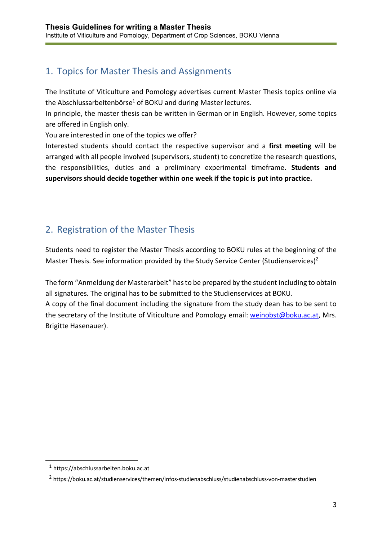## 1. Topics for Master Thesis and Assignments

The Institute of Viticulture and Pomology advertises current Master Thesis topics online via the Abschlussarbeitenbörse<sup>1</sup> of BOKU and during Master lectures.

In principle, the master thesis can be written in German or in English. However, some topics are offered in English only.

You are interested in one of the topics we offer?

Interested students should contact the respective supervisor and a **first meeting** will be arranged with all people involved (supervisors, student) to concretize the research questions, the responsibilities, duties and a preliminary experimental timeframe. **Students and supervisors should decide together within one week if the topic is put into practice.** 

## 2. Registration of the Master Thesis

Students need to register the Master Thesis according to BOKU rules at the beginning of the Master Thesis. See information provided by the Study Service Center (Studienservices)<sup>2</sup>

The form "Anmeldung der Masterarbeit" has to be prepared by the student including to obtain all signatures. The original has to be submitted to the Studienservices at BOKU. A copy of the final document including the signature from the study dean has to be sent to the secretary of the Institute of Viticulture and Pomology email: weinobst@boku.ac.at, Mrs. Brigitte Hasenauer).

<sup>1</sup> https://abschlussarbeiten.boku.ac.at

<sup>2</sup> https://boku.ac.at/studienservices/themen/infos-studienabschluss/studienabschluss-von-masterstudien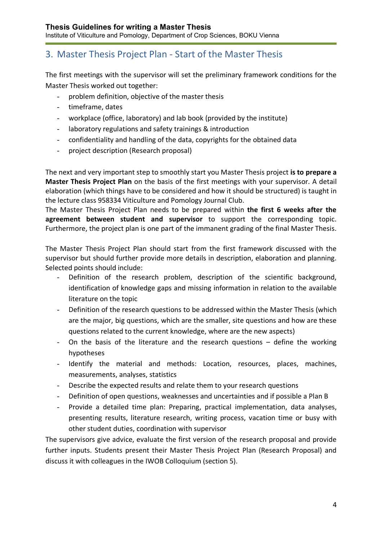## 3. Master Thesis Project Plan - Start of the Master Thesis

The first meetings with the supervisor will set the preliminary framework conditions for the Master Thesis worked out together:

- problem definition, objective of the master thesis
- timeframe, dates
- workplace (office, laboratory) and lab book (provided by the institute)
- laboratory regulations and safety trainings & introduction
- confidentiality and handling of the data, copyrights for the obtained data
- project description (Research proposal)

The next and very important step to smoothly start you Master Thesis project **is to prepare a Master Thesis Project Plan** on the basis of the first meetings with your supervisor. A detail elaboration (which things have to be considered and how it should be structured) is taught in the lecture class 958334 Viticulture and Pomology Journal Club.

The Master Thesis Project Plan needs to be prepared within **the first 6 weeks after the agreement between student and supervisor** to support the corresponding topic. Furthermore, the project plan is one part of the immanent grading of the final Master Thesis.

The Master Thesis Project Plan should start from the first framework discussed with the supervisor but should further provide more details in description, elaboration and planning. Selected points should include:

- Definition of the research problem, description of the scientific background, identification of knowledge gaps and missing information in relation to the available literature on the topic
- Definition of the research questions to be addressed within the Master Thesis (which are the major, big questions, which are the smaller, site questions and how are these questions related to the current knowledge, where are the new aspects)
- On the basis of the literature and the research questions define the working hypotheses
- Identify the material and methods: Location, resources, places, machines, measurements, analyses, statistics
- Describe the expected results and relate them to your research questions
- Definition of open questions, weaknesses and uncertainties and if possible a Plan B
- Provide a detailed time plan: Preparing, practical implementation, data analyses, presenting results, literature research, writing process, vacation time or busy with other student duties, coordination with supervisor

The supervisors give advice, evaluate the first version of the research proposal and provide further inputs. Students present their Master Thesis Project Plan (Research Proposal) and discuss it with colleagues in the IWOB Colloquium (section 5).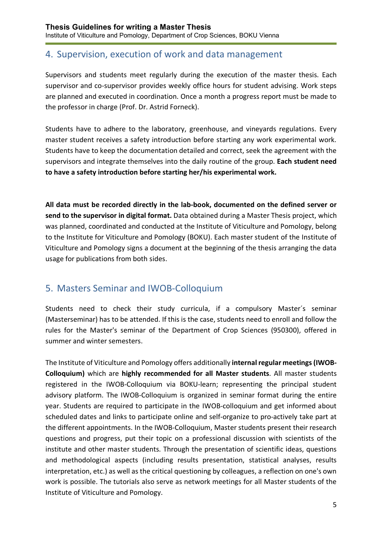### 4. Supervision, execution of work and data management

Supervisors and students meet regularly during the execution of the master thesis. Each supervisor and co-supervisor provides weekly office hours for student advising. Work steps are planned and executed in coordination. Once a month a progress report must be made to the professor in charge (Prof. Dr. Astrid Forneck).

Students have to adhere to the laboratory, greenhouse, and vineyards regulations. Every master student receives a safety introduction before starting any work experimental work. Students have to keep the documentation detailed and correct, seek the agreement with the supervisors and integrate themselves into the daily routine of the group. **Each student need to have a safety introduction before starting her/his experimental work.** 

**All data must be recorded directly in the lab-book, documented on the defined server or send to the supervisor in digital format.** Data obtained during a Master Thesis project, which was planned, coordinated and conducted at the Institute of Viticulture and Pomology, belong to the Institute for Viticulture and Pomology (BOKU). Each master student of the Institute of Viticulture and Pomology signs a document at the beginning of the thesis arranging the data usage for publications from both sides.

## 5. Masters Seminar and IWOB-Colloquium

Students need to check their study curricula, if a compulsory Master´s seminar (Masterseminar) has to be attended. If this is the case, students need to enroll and follow the rules for the Master's seminar of the Department of Crop Sciences (950300), offered in summer and winter semesters.

The Institute of Viticulture and Pomology offers additionally **internal regular meetings (IWOB-Colloquium)** which are **highly recommended for all Master students**. All master students registered in the IWOB-Colloquium via BOKU-learn; representing the principal student advisory platform. The IWOB-Colloquium is organized in seminar format during the entire year. Students are required to participate in the IWOB-colloquium and get informed about scheduled dates and links to participate online and self-organize to pro-actively take part at the different appointments. In the IWOB-Colloquium, Master students present their research questions and progress, put their topic on a professional discussion with scientists of the institute and other master students. Through the presentation of scientific ideas, questions and methodological aspects (including results presentation, statistical analyses, results interpretation, etc.) as well as the critical questioning by colleagues, a reflection on one's own work is possible. The tutorials also serve as network meetings for all Master students of the Institute of Viticulture and Pomology.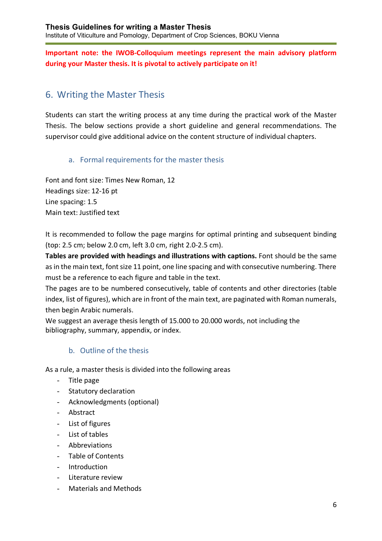#### **Important note: the IWOB-Colloquium meetings represent the main advisory platform during your Master thesis. It is pivotal to actively participate on it!**

## 6. Writing the Master Thesis

Students can start the writing process at any time during the practical work of the Master Thesis. The below sections provide a short guideline and general recommendations. The supervisor could give additional advice on the content structure of individual chapters.

#### a. Formal requirements for the master thesis

Font and font size: Times New Roman, 12 Headings size: 12-16 pt Line spacing: 1.5 Main text: Justified text

It is recommended to follow the page margins for optimal printing and subsequent binding (top: 2.5 cm; below 2.0 cm, left 3.0 cm, right 2.0-2.5 cm).

**Tables are provided with headings and illustrations with captions.** Font should be the same as in the main text, font size 11 point, one line spacing and with consecutive numbering. There must be a reference to each figure and table in the text.

The pages are to be numbered consecutively, table of contents and other directories (table index, list of figures), which are in front of the main text, are paginated with Roman numerals, then begin Arabic numerals.

We suggest an average thesis length of 15.000 to 20.000 words, not including the bibliography, summary, appendix, or index.

#### b. Outline of the thesis

As a rule, a master thesis is divided into the following areas

- Title page
- Statutory declaration
- Acknowledgments (optional)
- Abstract
- List of figures
- List of tables
- Abbreviations
- Table of Contents
- Introduction
- Literature review
- Materials and Methods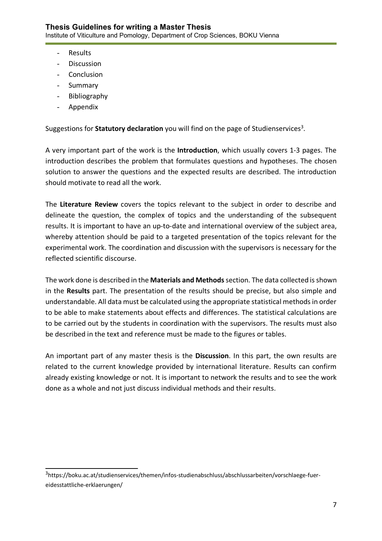- Results
- Discussion
- Conclusion
- Summary
- Bibliography
- Appendix

Suggestions for **Statutory declaration** you will find on the page of Studienservices<sup>3</sup>.

A very important part of the work is the **Introduction**, which usually covers 1-3 pages. The introduction describes the problem that formulates questions and hypotheses. The chosen solution to answer the questions and the expected results are described. The introduction should motivate to read all the work.

The **Literature Review** covers the topics relevant to the subject in order to describe and delineate the question, the complex of topics and the understanding of the subsequent results. It is important to have an up-to-date and international overview of the subject area, whereby attention should be paid to a targeted presentation of the topics relevant for the experimental work. The coordination and discussion with the supervisors is necessary for the reflected scientific discourse.

The work done is described in the **Materials and Methods** section. The data collected is shown in the **Results** part. The presentation of the results should be precise, but also simple and understandable. All data must be calculated using the appropriate statistical methods in order to be able to make statements about effects and differences. The statistical calculations are to be carried out by the students in coordination with the supervisors. The results must also be described in the text and reference must be made to the figures or tables.

An important part of any master thesis is the **Discussion**. In this part, the own results are related to the current knowledge provided by international literature. Results can confirm already existing knowledge or not. It is important to network the results and to see the work done as a whole and not just discuss individual methods and their results.

<sup>&</sup>lt;sup>3</sup>https://boku.ac.at/studienservices/themen/infos-studienabschluss/abschlussarbeiten/vorschlaege-fuereidesstattliche-erklaerungen/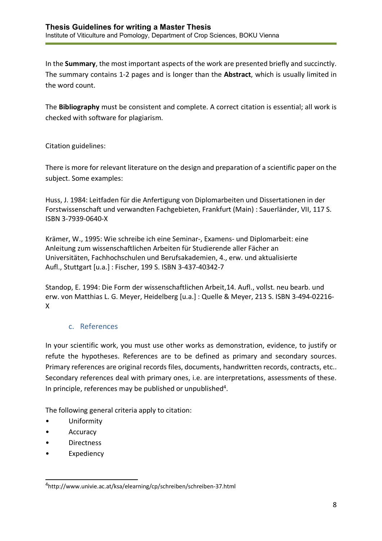In the **Summary**, the most important aspects of the work are presented briefly and succinctly. The summary contains 1-2 pages and is longer than the **Abstract**, which is usually limited in the word count.

The **Bibliography** must be consistent and complete. A correct citation is essential; all work is checked with software for plagiarism.

Citation guidelines:

There is more for relevant literature on the design and preparation of a scientific paper on the subject. Some examples:

Huss, J. 1984: Leitfaden für die Anfertigung von Diplomarbeiten und Dissertationen in der Forstwissenschaft und verwandten Fachgebieten, Frankfurt (Main) : Sauerländer, VII, 117 S. ISBN 3-7939-0640-X

Krämer, W., 1995: Wie schreibe ich eine Seminar-, Examens- und Diplomarbeit: eine Anleitung zum wissenschaftlichen Arbeiten für Studierende aller Fächer an Universitäten, Fachhochschulen und Berufsakademien, 4., erw. und aktualisierte Aufl., Stuttgart [u.a.] : Fischer, 199 S. ISBN 3-437-40342-7

Standop, E. 1994: Die Form der wissenschaftlichen Arbeit,14. Aufl., vollst. neu bearb. und erw. von Matthias L. G. Meyer, Heidelberg [u.a.] : Quelle & Meyer, 213 S. ISBN 3-494-02216- X

#### c. References

In your scientific work, you must use other works as demonstration, evidence, to justify or refute the hypotheses. References are to be defined as primary and secondary sources. Primary references are original records files, documents, handwritten records, contracts, etc.. Secondary references deal with primary ones, i.e. are interpretations, assessments of these. In principle, references may be published or unpublished<sup>4</sup>.

The following general criteria apply to citation:

- Uniformity
- Accuracy
- **Directness**
- Expediency

<sup>4</sup> http://www.univie.ac.at/ksa/elearning/cp/schreiben/schreiben-37.html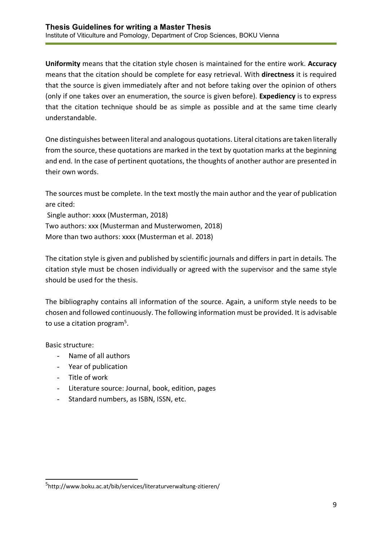**Uniformity** means that the citation style chosen is maintained for the entire work. **Accuracy** means that the citation should be complete for easy retrieval. With **directness** it is required that the source is given immediately after and not before taking over the opinion of others (only if one takes over an enumeration, the source is given before). **Expediency** is to express that the citation technique should be as simple as possible and at the same time clearly understandable.

One distinguishes between literal and analogous quotations. Literal citations are taken literally from the source, these quotations are marked in the text by quotation marks at the beginning and end. In the case of pertinent quotations, the thoughts of another author are presented in their own words.

The sources must be complete. In the text mostly the main author and the year of publication are cited:

Single author: xxxx (Musterman, 2018) Two authors: xxx (Musterman and Musterwomen, 2018) More than two authors: xxxx (Musterman et al. 2018)

The citation style is given and published by scientific journals and differs in part in details. The citation style must be chosen individually or agreed with the supervisor and the same style should be used for the thesis.

The bibliography contains all information of the source. Again, a uniform style needs to be chosen and followed continuously. The following information must be provided. It is advisable to use a citation program<sup>5</sup>.

Basic structure:

- Name of all authors
- Year of publication
- Title of work
- Literature source: Journal, book, edition, pages
- Standard numbers, as ISBN, ISSN, etc.

<sup>5</sup>http://www.boku.ac.at/bib/services/literaturverwaltung-zitieren/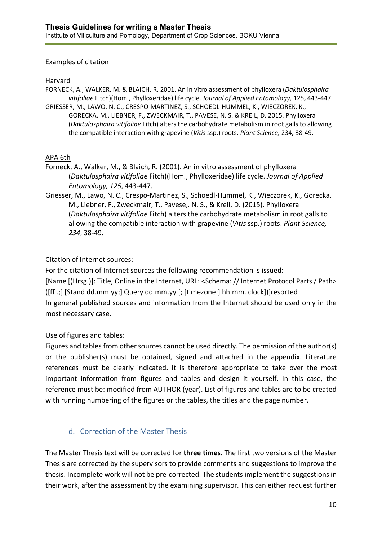#### Examples of citation

#### Harvard

FORNECK, A., WALKER, M. & BLAICH, R. 2001. An in vitro assessment of phylloxera (*Daktulosphaira vitifoliae* Fitch)(Hom., Phylloxeridae) life cycle. *Journal of Applied Entomology,* 125**,** 443-447.

GRIESSER, M., LAWO, N. C., CRESPO-MARTINEZ, S., SCHOEDL-HUMMEL, K., WIECZOREK, K., GORECKA, M., LIEBNER, F., ZWECKMAIR, T., PAVESE, N. S. & KREIL, D. 2015. Phylloxera (*Daktulosphaira vitifoliae* Fitch) alters the carbohydrate metabolism in root galls to allowing the compatible interaction with grapevine (*Vitis* ssp.) roots. *Plant Science,* 234**,** 38-49.

#### APA 6th

- Forneck, A., Walker, M., & Blaich, R. (2001). An in vitro assessment of phylloxera (*Daktulosphaira vitifoliae* Fitch)(Hom., Phylloxeridae) life cycle. *Journal of Applied Entomology, 125*, 443-447.
- Griesser, M., Lawo, N. C., Crespo-Martinez, S., Schoedl-Hummel, K., Wieczorek, K., Gorecka, M., Liebner, F., Zweckmair, T., Pavese,. N. S., & Kreil, D. (2015). Phylloxera (*Daktulosphaira vitifoliae* Fitch) alters the carbohydrate metabolism in root galls to allowing the compatible interaction with grapevine (*Vitis* ssp.) roots. *Plant Science, 234*, 38-49.

#### Citation of Internet sources:

For the citation of Internet sources the following recommendation is issued: [Name [(Hrsg.)]: Title, Online in the Internet, URL: <Schema: // Internet Protocol Parts / Path> ([ff .;] [Stand dd.mm.yy;] Query dd.mm.yy [; [timezone:] hh.mm. clock])]resorted In general published sources and information from the Internet should be used only in the most necessary case.

#### Use of figures and tables:

Figures and tables from other sources cannot be used directly. The permission of the author(s) or the publisher(s) must be obtained, signed and attached in the appendix. Literature references must be clearly indicated. It is therefore appropriate to take over the most important information from figures and tables and design it yourself. In this case, the reference must be: modified from AUTHOR (year). List of figures and tables are to be created with running numbering of the figures or the tables, the titles and the page number.

#### d. Correction of the Master Thesis

The Master Thesis text will be corrected for **three times**. The first two versions of the Master Thesis are corrected by the supervisors to provide comments and suggestions to improve the thesis. Incomplete work will not be pre-corrected. The students implement the suggestions in their work, after the assessment by the examining supervisor. This can either request further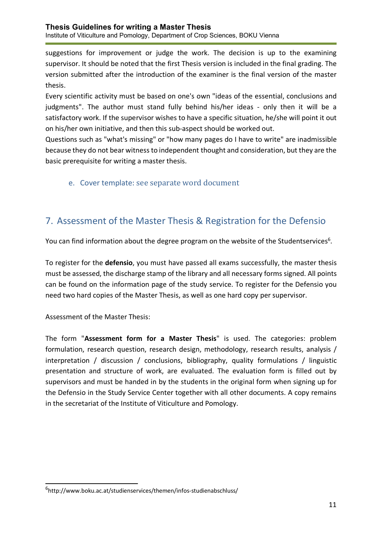suggestions for improvement or judge the work. The decision is up to the examining supervisor. It should be noted that the first Thesis version is included in the final grading. The version submitted after the introduction of the examiner is the final version of the master thesis.

Every scientific activity must be based on one's own "ideas of the essential, conclusions and judgments". The author must stand fully behind his/her ideas - only then it will be a satisfactory work. If the supervisor wishes to have a specific situation, he/she will point it out on his/her own initiative, and then this sub-aspect should be worked out.

Questions such as "what's missing" or "how many pages do I have to write" are inadmissible because they do not bear witness to independent thought and consideration, but they are the basic prerequisite for writing a master thesis.

e. Cover template: see separate word document

## 7. Assessment of the Master Thesis & Registration for the Defensio

You can find information about the degree program on the website of the Studentservices $6$ .

To register for the **defensio**, you must have passed all exams successfully, the master thesis must be assessed, the discharge stamp of the library and all necessary forms signed. All points can be found on the information page of the study service. To register for the Defensio you need two hard copies of the Master Thesis, as well as one hard copy per supervisor.

Assessment of the Master Thesis:

The form "**Assessment form for a Master Thesis**" is used. The categories: problem formulation, research question, research design, methodology, research results, analysis / interpretation / discussion / conclusions, bibliography, quality formulations / linguistic presentation and structure of work, are evaluated. The evaluation form is filled out by supervisors and must be handed in by the students in the original form when signing up for the Defensio in the Study Service Center together with all other documents. A copy remains in the secretariat of the Institute of Viticulture and Pomology.

<sup>6</sup> http://www.boku.ac.at/studienservices/themen/infos-studienabschluss/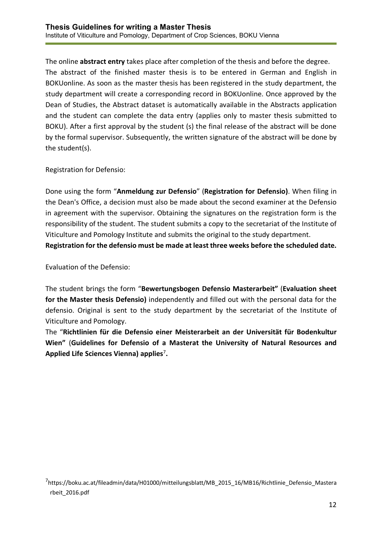The online **abstract entry** takes place after completion of the thesis and before the degree. The abstract of the finished master thesis is to be entered in German and English in BOKUonline. As soon as the master thesis has been registered in the study department, the study department will create a corresponding record in BOKUonline. Once approved by the Dean of Studies, the Abstract dataset is automatically available in the Abstracts application and the student can complete the data entry (applies only to master thesis submitted to BOKU). After a first approval by the student (s) the final release of the abstract will be done by the formal supervisor. Subsequently, the written signature of the abstract will be done by the student(s).

Registration for Defensio:

Done using the form "**Anmeldung zur Defensio**" (**Registration for Defensio)**. When filing in the Dean's Office, a decision must also be made about the second examiner at the Defensio in agreement with the supervisor. Obtaining the signatures on the registration form is the responsibility of the student. The student submits a copy to the secretariat of the Institute of Viticulture and Pomology Institute and submits the original to the study department.

**Registration for the defensio must be made at least three weeks before the scheduled date.** 

Evaluation of the Defensio:

The student brings the form "**Bewertungsbogen Defensio Masterarbeit"** (**Evaluation sheet for the Master thesis Defensio)** independently and filled out with the personal data for the defensio. Original is sent to the study department by the secretariat of the Institute of Viticulture and Pomology.

The "**Richtlinien für die Defensio einer Meisterarbeit an der Universität für Bodenkultur Wien"** (**Guidelines for Defensio of a Masterat the University of Natural Resources and Applied Life Sciences Vienna) applies**<sup>7</sup>**.**

<sup>7</sup> https://boku.ac.at/fileadmin/data/H01000/mitteilungsblatt/MB\_2015\_16/MB16/Richtlinie\_Defensio\_Mastera rbeit\_2016.pdf